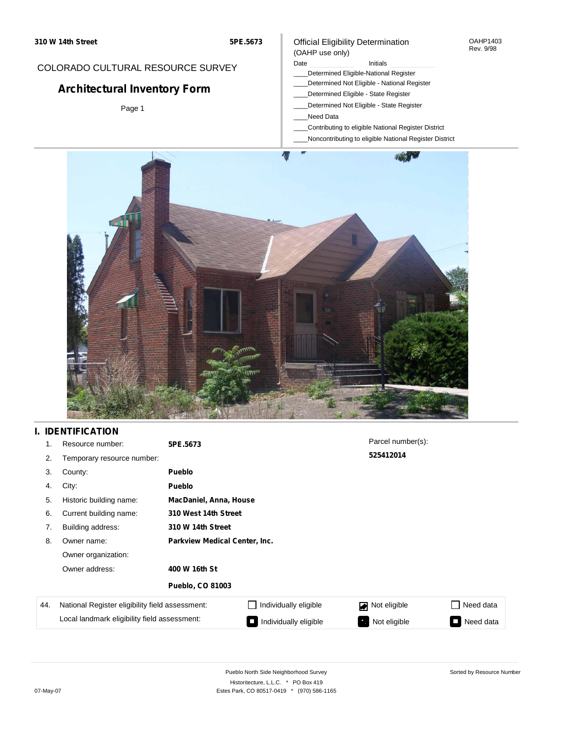## COLORADO CULTURAL RESOURCE SURVEY

# **Architectural Inventory Form**

Page 1

### Official Eligibility Determination (OAHP use only)

### Date **Initials** Initials

- \_\_\_\_Determined Eligible-National Register
- \_\_\_\_Determined Not Eligible National Register
- \_\_\_\_Determined Eligible State Register
- \_\_\_\_Determined Not Eligible State Register
- \_\_\_\_Need Data
- \_\_\_\_Contributing to eligible National Register District
- \_\_\_\_Noncontributing to eligible National Register District



## **I. IDENTIFICATION**

| 1.  | Resource number:                                | 5PE.5673                      |                       | Parcel number(s): |                 |  |
|-----|-------------------------------------------------|-------------------------------|-----------------------|-------------------|-----------------|--|
| 2.  | Temporary resource number:                      |                               |                       | 525412014         |                 |  |
| 3.  | County:                                         | <b>Pueblo</b>                 |                       |                   |                 |  |
| 4.  | City:                                           | <b>Pueblo</b>                 |                       |                   |                 |  |
| 5.  | Historic building name:                         | MacDaniel, Anna, House        |                       |                   |                 |  |
| 6.  | Current building name:                          | 310 West 14th Street          |                       |                   |                 |  |
| 7.  | Building address:                               | 310 W 14th Street             |                       |                   |                 |  |
| 8.  | Owner name:                                     | Parkview Medical Center, Inc. |                       |                   |                 |  |
|     | Owner organization:                             |                               |                       |                   |                 |  |
|     | Owner address:                                  | 400 W 16th St                 |                       |                   |                 |  |
|     |                                                 | <b>Pueblo, CO 81003</b>       |                       |                   |                 |  |
| 44. | National Register eligibility field assessment: |                               | Individually eligible | Not eligible      | Need data       |  |
|     | Local landmark eligibility field assessment:    |                               | Individually eligible | Not eligible      | Need data<br>I. |  |

OAHP1403 Rev. 9/98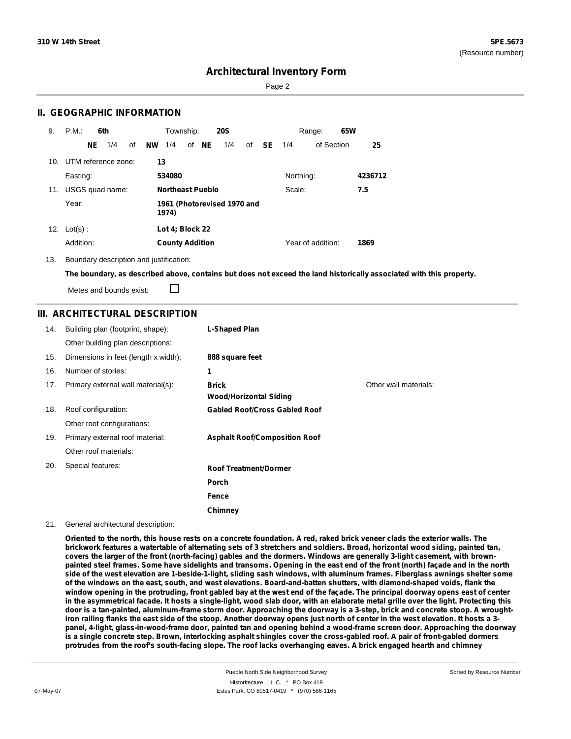Page 2

### **II. GEOGRAPHIC INFORMATION**

| 9.  | P.M.                |    | 6th             |    |           | Township:               |       | <b>20S</b>                  |    |           |           | Range:            | 65W |         |
|-----|---------------------|----|-----------------|----|-----------|-------------------------|-------|-----------------------------|----|-----------|-----------|-------------------|-----|---------|
|     |                     | NE | 1/4             | οf | <b>NW</b> | 1/4                     | of NE | 1/4                         | of | <b>SE</b> | 1/4       | of Section        |     | 25      |
| 10. | UTM reference zone: |    |                 |    | 13        |                         |       |                             |    |           |           |                   |     |         |
|     | Easting:            |    |                 |    |           | 534080                  |       |                             |    |           | Northing: |                   |     | 4236712 |
| 11. |                     |    | USGS quad name: |    |           | <b>Northeast Pueblo</b> |       |                             |    |           | Scale:    |                   |     | 7.5     |
|     | Year:               |    |                 |    |           | 1974)                   |       | 1961 (Photorevised 1970 and |    |           |           |                   |     |         |
| 12. | $Lot(s)$ :          |    |                 |    |           | Lot 4; Block 22         |       |                             |    |           |           |                   |     |         |
|     | Addition:           |    |                 |    |           | <b>County Addition</b>  |       |                             |    |           |           | Year of addition: |     | 1869    |

13. Boundary description and justification:

The boundary, as described above, contains but does not exceed the land historically associated with this property.

Metes and bounds exist:

П

### **III. ARCHITECTURAL DESCRIPTION**

| 14. | Building plan (footprint, shape):    | L-Shaped Plan                                 |                       |
|-----|--------------------------------------|-----------------------------------------------|-----------------------|
|     | Other building plan descriptions:    |                                               |                       |
| 15. | Dimensions in feet (length x width): | 888 square feet                               |                       |
| 16. | Number of stories:                   | 1                                             |                       |
| 17. | Primary external wall material(s):   | <b>Brick</b><br><b>Wood/Horizontal Siding</b> | Other wall materials: |
| 18. | Roof configuration:                  | <b>Gabled Roof/Cross Gabled Roof</b>          |                       |
|     | Other roof configurations:           |                                               |                       |
| 19. | Primary external roof material:      | <b>Asphalt Roof/Composition Roof</b>          |                       |
|     | Other roof materials:                |                                               |                       |
| 20. | Special features:                    | <b>Roof Treatment/Dormer</b>                  |                       |
|     |                                      | <b>Porch</b>                                  |                       |
|     |                                      | Fence                                         |                       |
|     |                                      | Chimney                                       |                       |

#### 21. General architectural description:

Oriented to the north, this house rests on a concrete foundation. A red, raked brick veneer clads the exterior walls. The brickwork features a watertable of alternating sets of 3 stretchers and soldiers. Broad, horizontal wood siding, painted tan, covers the larger of the front (north-facing) gables and the dormers. Windows are generally 3-light casement, with brownpainted steel frames. Some have sidelights and transoms. Opening in the east end of the front (north) façade and in the north side of the west elevation are 1-beside-1-light, sliding sash windows, with aluminum frames. Fiberglass awnings shelter some of the windows on the east, south, and west elevations. Board-and-batten shutters, with diamond-shaped voids, flank the window opening in the protruding, front gabled bay at the west end of the façade. The principal doorway opens east of center in the asymmetrical facade. It hosts a single-light, wood slab door, with an elaborate metal grille over the light. Protecting this door is a tan-painted, aluminum-frame storm door. Approaching the doorway is a 3-step, brick and concrete stoop. A wroughtiron railing flanks the east side of the stoop. Another doorway opens just north of center in the west elevation. It hosts a 3panel, 4-light, glass-in-wood-frame door, painted tan and opening behind a wood-frame screen door. Approaching the doorway is a single concrete step. Brown, interlocking asphalt shingles cover the cross-gabled roof. A pair of front-gabled dormers protrudes from the roof's south-facing slope. The roof lacks overhanging eaves. A brick engaged hearth and chimney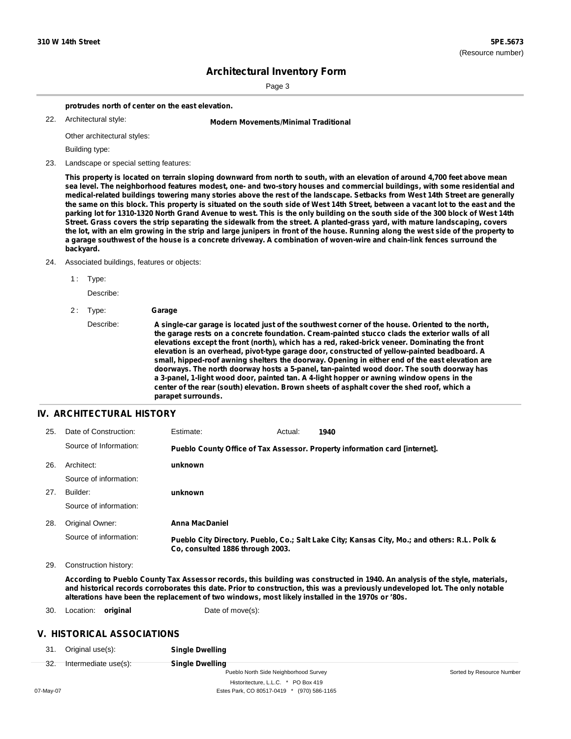Page 3

**protrudes north of center on the east elevation.**

22. Architectural style:

22. **Modern Movements/Minimal Traditional**

Other architectural styles:

Building type:

23. Landscape or special setting features:

This property is located on terrain sloping downward from north to south, with an elevation of around 4,700 feet above mean sea level. The neighborhood features modest, one- and two-story houses and commercial buildings, with some residential and medical-related buildings towering many stories above the rest of the landscape. Setbacks from West 14th Street are generally the same on this block. This property is situated on the south side of West 14th Street, between a vacant lot to the east and the parking lot for 1310-1320 North Grand Avenue to west. This is the only building on the south side of the 300 block of West 14th Street. Grass covers the strip separating the sidewalk from the street. A planted-grass yard, with mature landscaping, covers the lot, with an elm growing in the strip and large junipers in front of the house. Running along the west side of the property to a garage southwest of the house is a concrete driveway. A combination of woven-wire and chain-link fences surround the **backyard.**

24. Associated buildings, features or objects:

1: Type:

Describe:

```
2 : Type: Garage
```
Describe: A single-car garage is located just of the southwest corner of the house. Oriented to the north, **the garage rests on a concrete foundation. Cream-painted stucco clads the exterior walls of all elevations except the front (north), which has a red, raked-brick veneer. Dominating the front elevation is an overhead, pivot-type garage door, constructed of yellow-painted beadboard. A small, hipped-roof awning shelters the doorway. Opening in either end of the east elevation are doorways. The north doorway hosts a 5-panel, tan-painted wood door. The south doorway has a 3-panel, 1-light wood door, painted tan. A 4-light hopper or awning window opens in the center of the rear (south) elevation. Brown sheets of asphalt cover the shed roof, which a parapet surrounds.**

#### **IV. ARCHITECTURAL HISTORY**

| 25. | Date of Construction:  | Estimate:                        | Actual: | 1940                                                                                          |
|-----|------------------------|----------------------------------|---------|-----------------------------------------------------------------------------------------------|
|     | Source of Information: |                                  |         | Pueblo County Office of Tax Assessor. Property information card [internet].                   |
| 26. | Architect:             | unknown                          |         |                                                                                               |
|     | Source of information: |                                  |         |                                                                                               |
| 27. | Builder:               | unknown                          |         |                                                                                               |
|     | Source of information: |                                  |         |                                                                                               |
| 28. | Original Owner:        | Anna MacDaniel                   |         |                                                                                               |
|     | Source of information: | Co. consulted 1886 through 2003. |         | Pueblo City Directory. Pueblo, Co.; Salt Lake City; Kansas City, Mo.; and others: R.L. Polk & |

29. Construction history:

According to Pueblo County Tax Assessor records, this building was constructed in 1940. An analysis of the style, materials, and historical records corroborates this date. Prior to construction, this was a previously undeveloped lot. The only notable **alterations have been the replacement of two windows, most likely installed in the 1970s or '80s.**

30. Location: **original** Date of move(s):

### **V. HISTORICAL ASSOCIATIONS**

31. Original use(s): **Single Dwelling**

| Intermediate use(s): |  |
|----------------------|--|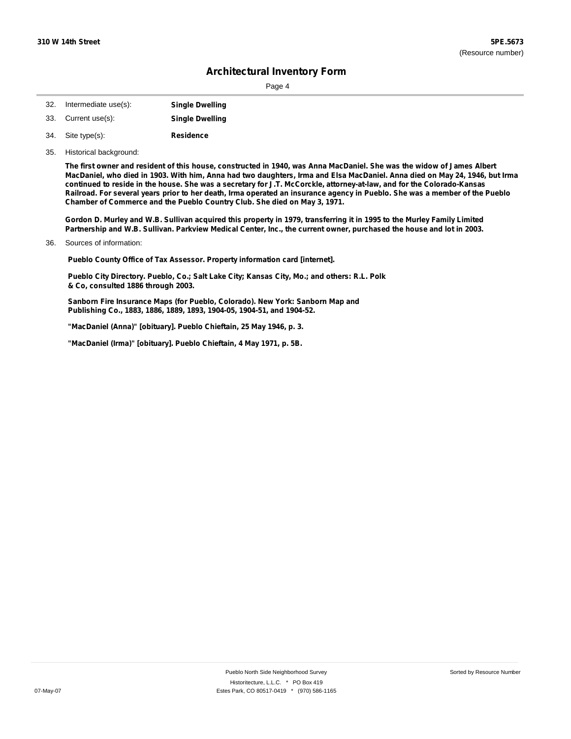| Î. |  |  |
|----|--|--|
|----|--|--|

| 32. | Intermediate use(s): | <b>Single Dwelling</b> |
|-----|----------------------|------------------------|
| 33. | Current use(s):      | <b>Single Dwelling</b> |

- **Residence** Site type(s): 34.
- 35. Historical background:

The first owner and resident of this house, constructed in 1940, was Anna MacDaniel. She was the widow of James Albert MacDaniel, who died in 1903. With him, Anna had two daughters, Irma and Elsa MacDaniel. Anna died on May 24, 1946, but Irma continued to reside in the house. She was a secretary for J.T. McCorckle, attorney-at-law, and for the Colorado-Kansas Railroad. For several years prior to her death, Irma operated an insurance agency in Pueblo. She was a member of the Pueblo **Chamber of Commerce and the Pueblo Country Club. She died on May 3, 1971.**

Gordon D. Murley and W.B. Sullivan acquired this property in 1979, transferring it in 1995 to the Murley Family Limited Partnership and W.B. Sullivan. Parkview Medical Center, Inc., the current owner, purchased the house and lot in 2003.

Sources of information: 36.

**Pueblo County Office of Tax Assessor. Property information card [internet].**

**Pueblo City Directory. Pueblo, Co.; Salt Lake City; Kansas City, Mo.; and others: R.L. Polk & Co, consulted 1886 through 2003.**

**Sanborn Fire Insurance Maps (for Pueblo, Colorado). New York: Sanborn Map and Publishing Co., 1883, 1886, 1889, 1893, 1904-05, 1904-51, and 1904-52.**

**"MacDaniel (Anna)" [obituary]. Pueblo Chieftain, 25 May 1946, p. 3.**

**"MacDaniel (Irma)" [obituary]. Pueblo Chieftain, 4 May 1971, p. 5B.**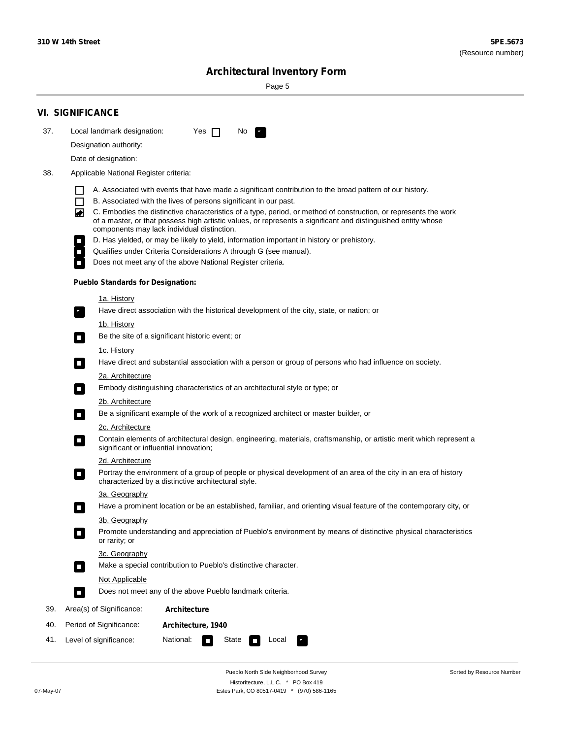۰

Sorted by Resource Number

# **Architectural Inventory Form**

Page 5

|     | <b>VI. SIGNIFICANCE</b>                                                                                                                                                                                                                                                                                                                                                                                                                                                                                                                                                                                                                                                                                                                                                                                                                                                                                                                                                                                                                                                                                                                                                                                                                                                                                                                                                                                                                                                                                                                                                                                                                                                                                                                                                                                                                                                                                                                                                                                                                                                                                                                                                                                                                                                        |
|-----|--------------------------------------------------------------------------------------------------------------------------------------------------------------------------------------------------------------------------------------------------------------------------------------------------------------------------------------------------------------------------------------------------------------------------------------------------------------------------------------------------------------------------------------------------------------------------------------------------------------------------------------------------------------------------------------------------------------------------------------------------------------------------------------------------------------------------------------------------------------------------------------------------------------------------------------------------------------------------------------------------------------------------------------------------------------------------------------------------------------------------------------------------------------------------------------------------------------------------------------------------------------------------------------------------------------------------------------------------------------------------------------------------------------------------------------------------------------------------------------------------------------------------------------------------------------------------------------------------------------------------------------------------------------------------------------------------------------------------------------------------------------------------------------------------------------------------------------------------------------------------------------------------------------------------------------------------------------------------------------------------------------------------------------------------------------------------------------------------------------------------------------------------------------------------------------------------------------------------------------------------------------------------------|
| 37. | Local landmark designation:<br>Yes $\Box$<br>No.<br>$\mathbf{r}_\perp$                                                                                                                                                                                                                                                                                                                                                                                                                                                                                                                                                                                                                                                                                                                                                                                                                                                                                                                                                                                                                                                                                                                                                                                                                                                                                                                                                                                                                                                                                                                                                                                                                                                                                                                                                                                                                                                                                                                                                                                                                                                                                                                                                                                                         |
|     | Designation authority:                                                                                                                                                                                                                                                                                                                                                                                                                                                                                                                                                                                                                                                                                                                                                                                                                                                                                                                                                                                                                                                                                                                                                                                                                                                                                                                                                                                                                                                                                                                                                                                                                                                                                                                                                                                                                                                                                                                                                                                                                                                                                                                                                                                                                                                         |
|     | Date of designation:                                                                                                                                                                                                                                                                                                                                                                                                                                                                                                                                                                                                                                                                                                                                                                                                                                                                                                                                                                                                                                                                                                                                                                                                                                                                                                                                                                                                                                                                                                                                                                                                                                                                                                                                                                                                                                                                                                                                                                                                                                                                                                                                                                                                                                                           |
| 38. | Applicable National Register criteria:                                                                                                                                                                                                                                                                                                                                                                                                                                                                                                                                                                                                                                                                                                                                                                                                                                                                                                                                                                                                                                                                                                                                                                                                                                                                                                                                                                                                                                                                                                                                                                                                                                                                                                                                                                                                                                                                                                                                                                                                                                                                                                                                                                                                                                         |
|     | A. Associated with events that have made a significant contribution to the broad pattern of our history.<br>B. Associated with the lives of persons significant in our past.<br>$\mathsf{L}$<br>C. Embodies the distinctive characteristics of a type, period, or method of construction, or represents the work<br>◚<br>of a master, or that possess high artistic values, or represents a significant and distinguished entity whose<br>components may lack individual distinction.<br>D. Has yielded, or may be likely to yield, information important in history or prehistory.<br>Qualifies under Criteria Considerations A through G (see manual).<br>Does not meet any of the above National Register criteria.<br><b>Pueblo Standards for Designation:</b><br><u>1a. History</u><br>Have direct association with the historical development of the city, state, or nation; or<br>$\mathbf{r}_\perp$<br><u>1b. History</u><br>Be the site of a significant historic event; or<br>$\blacksquare$<br>1c. History<br>Have direct and substantial association with a person or group of persons who had influence on society.<br>$\blacksquare$<br>2a. Architecture<br>Embody distinguishing characteristics of an architectural style or type; or<br>$\Box$<br>2b. Architecture<br>Be a significant example of the work of a recognized architect or master builder, or<br>$\mathcal{L}_{\mathcal{A}}$<br>2c. Architecture<br>Contain elements of architectural design, engineering, materials, craftsmanship, or artistic merit which represent a<br>$\mathcal{L}_{\mathcal{A}}$<br>significant or influential innovation;<br>2d. Architecture<br>Portray the environment of a group of people or physical development of an area of the city in an era of history<br>$\mathcal{L}_{\mathcal{A}}$<br>characterized by a distinctive architectural style.<br>3a. Geography<br>Have a prominent location or be an established, familiar, and orienting visual feature of the contemporary city, or<br>П<br>3b. Geography<br>Promote understanding and appreciation of Pueblo's environment by means of distinctive physical characteristics<br>or rarity; or<br>3c. Geography<br>Make a special contribution to Pueblo's distinctive character.<br>$\overline{\phantom{a}}$ |
|     | <b>Not Applicable</b>                                                                                                                                                                                                                                                                                                                                                                                                                                                                                                                                                                                                                                                                                                                                                                                                                                                                                                                                                                                                                                                                                                                                                                                                                                                                                                                                                                                                                                                                                                                                                                                                                                                                                                                                                                                                                                                                                                                                                                                                                                                                                                                                                                                                                                                          |
|     | Does not meet any of the above Pueblo landmark criteria.<br>$\overline{\phantom{a}}$                                                                                                                                                                                                                                                                                                                                                                                                                                                                                                                                                                                                                                                                                                                                                                                                                                                                                                                                                                                                                                                                                                                                                                                                                                                                                                                                                                                                                                                                                                                                                                                                                                                                                                                                                                                                                                                                                                                                                                                                                                                                                                                                                                                           |
| 39. | Area(s) of Significance:<br>Architecture                                                                                                                                                                                                                                                                                                                                                                                                                                                                                                                                                                                                                                                                                                                                                                                                                                                                                                                                                                                                                                                                                                                                                                                                                                                                                                                                                                                                                                                                                                                                                                                                                                                                                                                                                                                                                                                                                                                                                                                                                                                                                                                                                                                                                                       |
| 40. | Period of Significance:<br>Architecture, 1940                                                                                                                                                                                                                                                                                                                                                                                                                                                                                                                                                                                                                                                                                                                                                                                                                                                                                                                                                                                                                                                                                                                                                                                                                                                                                                                                                                                                                                                                                                                                                                                                                                                                                                                                                                                                                                                                                                                                                                                                                                                                                                                                                                                                                                  |
| 41. | National:<br>Level of significance:<br>State<br>Local<br>П                                                                                                                                                                                                                                                                                                                                                                                                                                                                                                                                                                                                                                                                                                                                                                                                                                                                                                                                                                                                                                                                                                                                                                                                                                                                                                                                                                                                                                                                                                                                                                                                                                                                                                                                                                                                                                                                                                                                                                                                                                                                                                                                                                                                                     |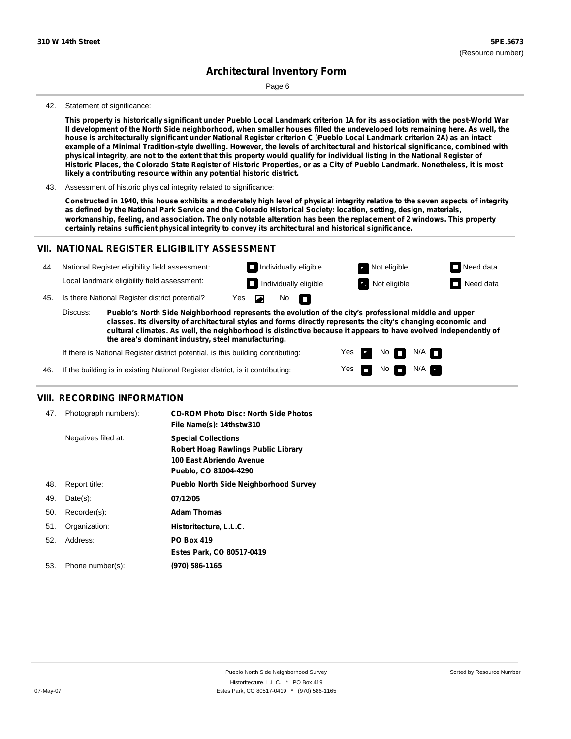Page 6

#### 42. Statement of significance:

This property is historically significant under Pueblo Local Landmark criterion 1A for its association with the post-World War Il development of the North Side neighborhood, when smaller houses filled the undeveloped lots remaining here. As well, the house is architecturally significant under National Register criterion C )Pueblo Local Landmark criterion 2A) as an intact example of a Minimal Tradition-style dwelling. However, the levels of architectural and historical significance, combined with physical integrity, are not to the extent that this property would qualify for individual listing in the National Register of Historic Places, the Colorado State Register of Historic Properties, or as a City of Pueblo Landmark. Nonetheless, it is most **likely a contributing resource within any potential historic district.**

43. Assessment of historic physical integrity related to significance:

Constructed in 1940, this house exhibits a moderately high level of physical integrity relative to the seven aspects of integrity as defined by the National Park Service and the Colorado Historical Society: location, setting, design, materials, workmanship, feeling, and association. The only notable alteration has been the replacement of 2 windows. This property **certainly retains sufficient physical integrity to convey its architectural and historical significance.**

### **VII. NATIONAL REGISTER ELIGIBILITY ASSESSMENT**



**classes. Its diversity of architectural styles and forms directly represents the city's changing economic and cultural climates. As well, the neighborhood is distinctive because it appears to have evolved independently of the area's dominant industry, steel manufacturing.**

> Yes Yes

Non<sub>d</sub> N/A No  $\blacksquare$  N/A  $\blacksquare$ 

If there is National Register district potential, is this building contributing:

If the building is in existing National Register district, is it contributing: 46.

#### **VIII. RECORDING INFORMATION**

| 47. | Photograph numbers): | <b>CD-ROM Photo Disc: North Side Photos</b><br>File Name(s): 14thstw310                                                       |
|-----|----------------------|-------------------------------------------------------------------------------------------------------------------------------|
|     | Negatives filed at:  | <b>Special Collections</b><br><b>Robert Hoag Rawlings Public Library</b><br>100 East Abriendo Avenue<br>Pueblo, CO 81004-4290 |
| 48. | Report title:        | <b>Pueblo North Side Neighborhood Survey</b>                                                                                  |
| 49. | $Date(s)$ :          | 07/12/05                                                                                                                      |
| 50. | Recorder(s):         | <b>Adam Thomas</b>                                                                                                            |
| 51. | Organization:        | Historitecture, L.L.C.                                                                                                        |
| 52. | Address:             | <b>PO Box 419</b>                                                                                                             |
|     |                      | Estes Park, CO 80517-0419                                                                                                     |
| 53. | Phone number(s):     | (970) 586-1165                                                                                                                |
|     |                      |                                                                                                                               |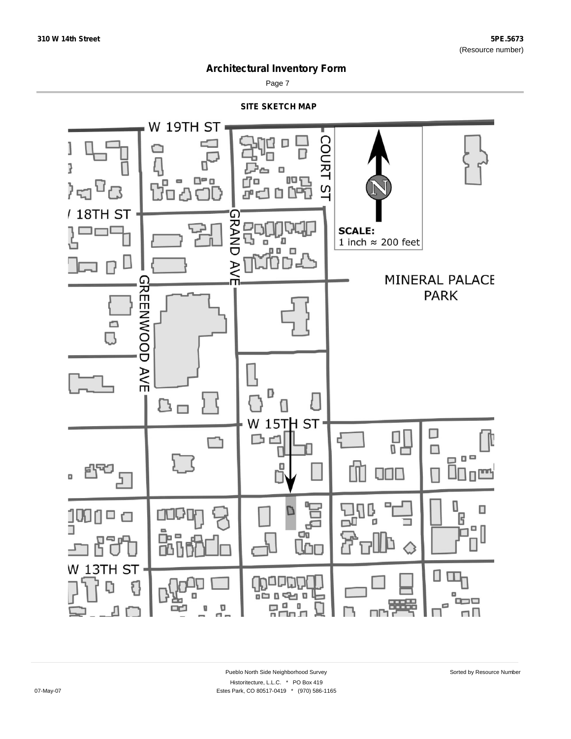

Page 7